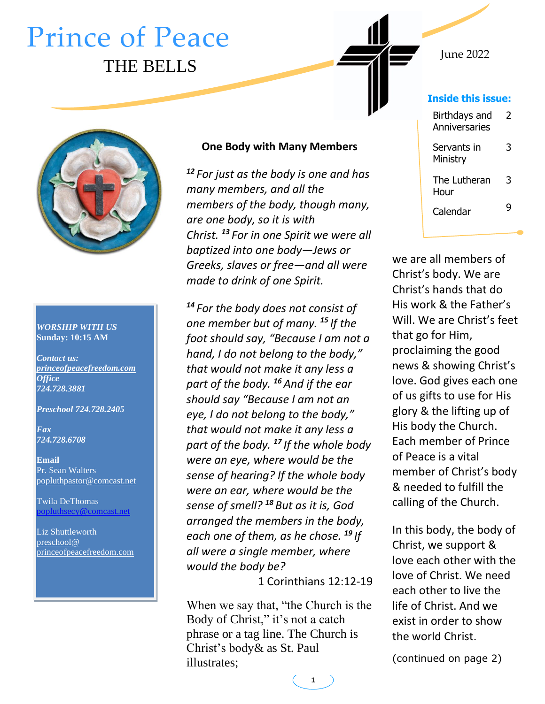# Prince of Peace THE BELLS



#### *WORSHIP WITH US* **Sunday: 10:15 AM**

*Contact us: [princeofpeacefreedom.com](http://www.princeofpeacefreedom.com/) Office 724.728.3881*

*Preschool 724.728.2405*

*Fax 724.728.6708*

**Email** Pr. Sean Walters [popluthpastor@comcast.net](mailto:secretarypop@princeofpeacefreedom.com)

Twila DeThomas [popluthsecy@comcast.net](mailto:popluthsecy@comcast.net)

Liz Shuttleworth [preschool@](mailto:preschool@princeofpeacefreedom.com)  [princeofpeacefreedom.com](mailto:preschool@princeofpeacefreedom.com)

#### **One Body with Many Members**

*<sup>12</sup> For just as the body is one and has many members, and all the members of the body, though many, are one body, so it is with Christ. <sup>13</sup> For in one Spirit we were all baptized into one body—Jews or Greeks, slaves or free—and all were made to drink of one Spirit.*

*14 For the body does not consist of one member but of many. <sup>15</sup> If the foot should say, "Because I am not a hand, I do not belong to the body," that would not make it any less a part of the body. <sup>16</sup> And if the ear should say "Because I am not an eye, I do not belong to the body," that would not make it any less a part of the body. <sup>17</sup> If the whole body were an eye, where would be the sense of hearing? If the whole body were an ear, where would be the sense of smell? <sup>18</sup> But as it is, God arranged the members in the body, each one of them, as he chose. <sup>19</sup> If all were a single member, where would the body be?*

1 Corinthians 12:12-19

When we say that, "the Church is the Body of Christ," it's not a catch phrase or a tag line. The Church is Christ's body& as St. Paul illustrates;

| Inside this issue:             |   |
|--------------------------------|---|
| Birthdays and<br>Anniversaries | 2 |
| Servants in<br>Ministry        | 3 |
| The Lutheran<br>Hour           | 3 |
| Calendar                       |   |

June 2022

we are all members of Christ's body. We are Christ's hands that do His work & the Father's Will. We are Christ's feet that go for Him, proclaiming the good news & showing Christ's love. God gives each one of us gifts to use for His glory & the lifting up of His body the Church. Each member of Prince of Peace is a vital member of Christ's body & needed to fulfill the calling of the Church.

In this body, the body of Christ, we support & love each other with the love of Christ. We need each other to live the life of Christ. And we exist in order to show the world Christ.

(continued on page 2)

**1**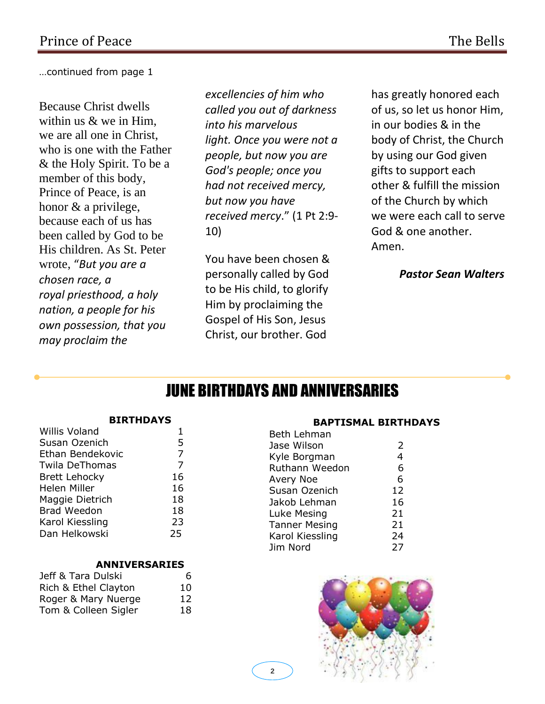…continued from page 1

Because Christ dwells within us & we in Him, we are all one in Christ, who is one with the Father & the Holy Spirit. To be a member of this body, Prince of Peace, is an honor & a privilege, because each of us has been called by God to be His children. As St. Peter wrote, "*But you are a chosen race, a royal priesthood, a holy nation, a people for his own possession, that you may proclaim the* 

*excellencies of him who called you out of darkness into his marvelous light. Once you were not a people, but now you are God's people; once you had not received mercy, but now you have received mercy*." (1 Pt 2:9- 10)

You have been chosen & personally called by God to be His child, to glorify Him by proclaiming the Gospel of His Son, Jesus Christ, our brother. God

has greatly honored each of us, so let us honor Him, in our bodies & in the body of Christ, the Church by using our God given gifts to support each other & fulfill the mission of the Church by which we were each call to serve God & one another. Amen.

*Pastor Sean Walters*

## JUNE BIRTHDAYS AND ANNIVERSARIES

#### **BIRTHDAYS**

| Susan Ozenich<br>Ethan Bendekovic<br>Twila DeThomas<br><b>Brett Lehocky</b><br><b>Helen Miller</b> |    |
|----------------------------------------------------------------------------------------------------|----|
|                                                                                                    | 5  |
|                                                                                                    | 7  |
|                                                                                                    | 7  |
|                                                                                                    | 16 |
|                                                                                                    | 16 |
| Maggie Dietrich                                                                                    | 18 |
| <b>Brad Weedon</b>                                                                                 | 18 |
| Karol Kiessling                                                                                    | 23 |
| Dan Helkowski<br>25                                                                                |    |

#### **ANNIVERSARIES**

| Jeff & Tara Dulski   | 6  |
|----------------------|----|
| Rich & Ethel Clayton | 10 |
| Roger & Mary Nuerge  | 12 |
| Tom & Colleen Sigler | 18 |

#### **BAPTISMAL BIRTHDAYS**

| Beth Lehman     |                |
|-----------------|----------------|
| Jase Wilson     | 2              |
| Kyle Borgman    | $\overline{4}$ |
| Ruthann Weedon  | 6              |
| Avery Noe       | 6              |
| Susan Ozenich   | 12             |
| Jakob Lehman    | 16             |
| Luke Mesing     | 21             |
| Tanner Mesing   | 21             |
| Karol Kiessling | 24             |
| Jim Nord        | 27             |
|                 |                |

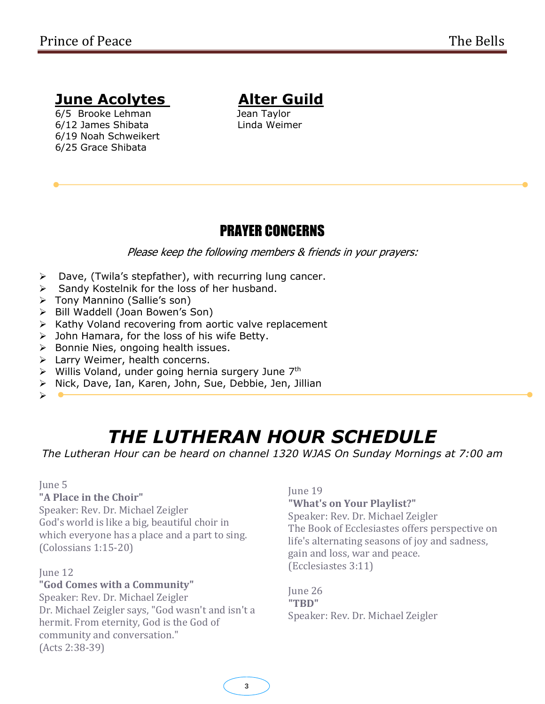## **June Acolytes Alter Guild**

6/5 Brooke Lehman Jean Taylor 6/12 James Shibata Linda Weimer 6/19 Noah Schweikert 6/25 Grace Shibata

### PRAYER CONCERNS

Please keep the following members & friends in your prayers:

- ➢ Dave, (Twila's stepfather), with recurring lung cancer.
- ➢ Sandy Kostelnik for the loss of her husband.
- ➢ Tony Mannino (Sallie's son)
- ➢ Bill Waddell (Joan Bowen's Son)
- ➢ Kathy Voland recovering from aortic valve replacement
- ➢ John Hamara, for the loss of his wife Betty.
- ➢ Bonnie Nies, ongoing health issues.
- ➢ Larry Weimer, health concerns.
- > Willis Voland, under going hernia surgery June 7<sup>th</sup>
- ➢ Nick, Dave, Ian, Karen, John, Sue, Debbie, Jen, Jillian

➢

# *THE LUTHERAN HOUR SCHEDULE*

**THE LUTHERAN HOUR SCHEDULE**<br>The Lutheran Hour can be heard on channel 1320 WJAS On Sunday Mornings at 7:00 am

### June 5

### **"A Place in the Choir"**

Speaker: Rev. Dr. Michael Zeigler God's world is like a big, beautiful choir in which everyone has a place and a part to sing. (Colossians 1:15-20)

June 12

### **"God Comes with a Community"**

Speaker: Rev. Dr. Michael Zeigler Dr. Michael Zeigler says, "God wasn't and isn't a hermit. From eternity, God is the God of community and conversation." (Acts 2:38-39)

#### June 19

### **"What's on Your Playlist?"**

Speaker: Rev. Dr. Michael Zeigler The Book of Ecclesiastes offers perspective on life's alternating seasons of joy and sadness, gain and loss, war and peace. (Ecclesiastes 3:11)

June 26 **"TBD"** Speaker: Rev. Dr. Michael Zeigler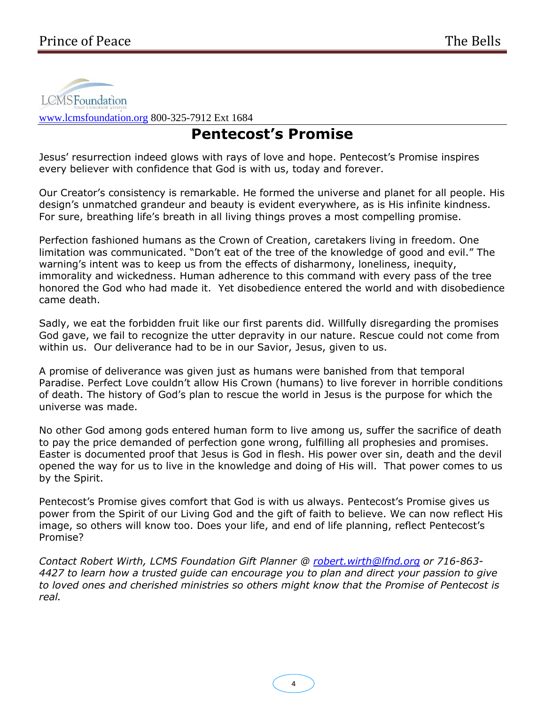

[www.lcmsfoundation.org](http://www.lcmsfoundation.org/) 800-325-7912 Ext 1684

## **Pentecost's Promise**

Jesus' resurrection indeed glows with rays of love and hope. Pentecost's Promise inspires every believer with confidence that God is with us, today and forever.

Our Creator's consistency is remarkable. He formed the universe and planet for all people. His design's unmatched grandeur and beauty is evident everywhere, as is His infinite kindness. For sure, breathing life's breath in all living things proves a most compelling promise.

Perfection fashioned humans as the Crown of Creation, caretakers living in freedom. One limitation was communicated. "Don't eat of the tree of the knowledge of good and evil." The warning's intent was to keep us from the effects of disharmony, loneliness, inequity, immorality and wickedness. Human adherence to this command with every pass of the tree honored the God who had made it. Yet disobedience entered the world and with disobedience came death.

Sadly, we eat the forbidden fruit like our first parents did. Willfully disregarding the promises God gave, we fail to recognize the utter depravity in our nature. Rescue could not come from within us. Our deliverance had to be in our Savior, Jesus, given to us.

A promise of deliverance was given just as humans were banished from that temporal Paradise. Perfect Love couldn't allow His Crown (humans) to live forever in horrible conditions of death. The history of God's plan to rescue the world in Jesus is the purpose for which the universe was made.

No other God among gods entered human form to live among us, suffer the sacrifice of death to pay the price demanded of perfection gone wrong, fulfilling all prophesies and promises. Easter is documented proof that Jesus is God in flesh. His power over sin, death and the devil opened the way for us to live in the knowledge and doing of His will. That power comes to us by the Spirit.

Pentecost's Promise gives comfort that God is with us always. Pentecost's Promise gives us power from the Spirit of our Living God and the gift of faith to believe. We can now reflect His image, so others will know too. Does your life, and end of life planning, reflect Pentecost's Promise?

*Contact Robert Wirth, LCMS Foundation Gift Planner @ [robert.wirth@lfnd.org](mailto:robert.wirth@lfnd.org) or 716-863- 4427 to learn how a trusted guide can encourage you to plan and direct your passion to give to loved ones and cherished ministries so others might know that the Promise of Pentecost is real.*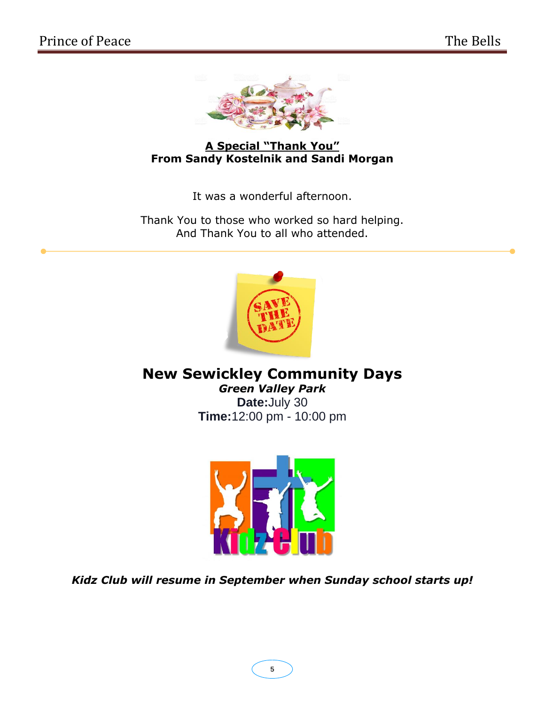

**A Special "Thank You" From Sandy Kostelnik and Sandi Morgan**

It was a wonderful afternoon.

Thank You to those who worked so hard helping. And Thank You to all who attended.



**New Sewickley Community Days** *Green Valley Park* **Date:**July 30 **Time:**12:00 pm - 10:00 pm



*Kidz Club will resume in September when Sunday school starts up!*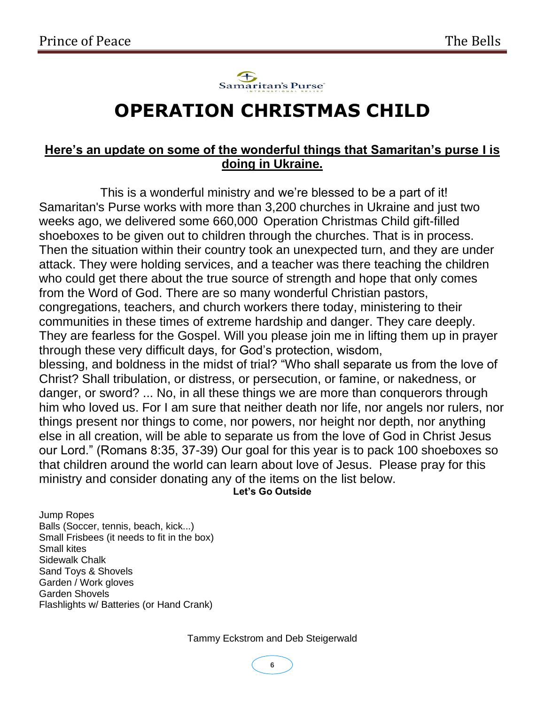

# **OPERATION CHRISTMAS CHILD**

### **Here's an update on some of the wonderful things that Samaritan's purse I is doing in Ukraine.**

This is a wonderful ministry and we're blessed to be a part of it! Samaritan's Purse works with more than 3,200 churches in Ukraine and just two weeks ago, we delivered some 660,000 Operation Christmas Child gift-filled shoeboxes to be given out to children through the churches. That is in process. Then the situation within their country took an unexpected turn, and they are under attack. They were holding services, and a teacher was there teaching the children who could get there about the true source of strength and hope that only comes from the Word of God. There are so many wonderful Christian pastors, congregations, teachers, and church workers there today, ministering to their communities in these times of extreme hardship and danger. They care deeply. They are fearless for the Gospel. Will you please join me in lifting them up in prayer through these very difficult days, for God's protection, wisdom, blessing, and boldness in the midst of trial? "Who shall separate us from the love of Christ? Shall tribulation, or distress, or persecution, or famine, or nakedness, or danger, or sword? ... No, in all these things we are more than conquerors through him who loved us. For I am sure that neither death nor life, nor angels nor rulers, nor things present nor things to come, nor powers, nor height nor depth, nor anything else in all creation, will be able to separate us from the love of God in Christ Jesus our Lord." (Romans 8:35, 37-39) Our goal for this year is to pack 100 shoeboxes so that children around the world can learn about love of Jesus. Please pray for this ministry and consider donating any of the items on the list below.

**Let's Go Outside**

Jump Ropes Balls (Soccer, tennis, beach, kick...) Small Frisbees (it needs to fit in the box) Small kites Sidewalk Chalk Sand Toys & Shovels Garden / Work gloves Garden Shovels Flashlights w/ Batteries (or Hand Crank)

Tammy Eckstrom and Deb Steigerwald

**6**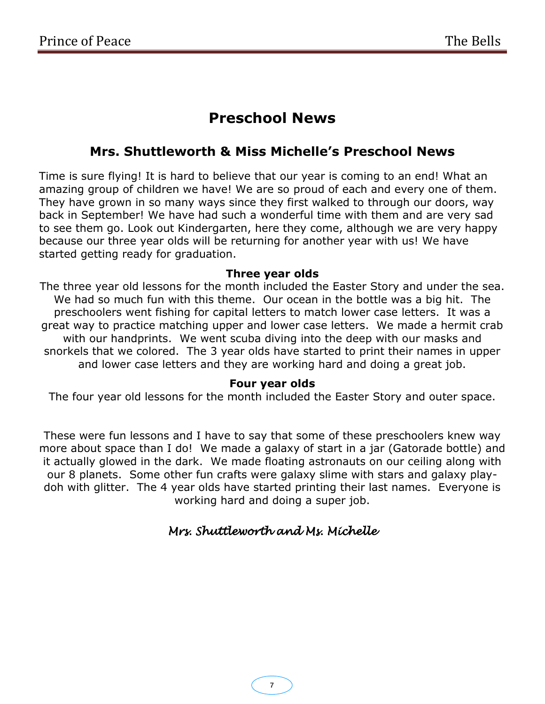## **Preschool News**

### **Mrs. Shuttleworth & Miss Michelle's Preschool News**

Time is sure flying! It is hard to believe that our year is coming to an end! What an amazing group of children we have! We are so proud of each and every one of them. They have grown in so many ways since they first walked to through our doors, way back in September! We have had such a wonderful time with them and are very sad to see them go. Look out Kindergarten, here they come, although we are very happy because our three year olds will be returning for another year with us! We have started getting ready for graduation.

### **Three year olds**

The three year old lessons for the month included the Easter Story and under the sea. We had so much fun with this theme. Our ocean in the bottle was a big hit. The preschoolers went fishing for capital letters to match lower case letters. It was a great way to practice matching upper and lower case letters. We made a hermit crab with our handprints. We went scuba diving into the deep with our masks and snorkels that we colored. The 3 year olds have started to print their names in upper and lower case letters and they are working hard and doing a great job.

### **Four year olds**

The four year old lessons for the month included the Easter Story and outer space.

These were fun lessons and I have to say that some of these preschoolers knew way more about space than I do! We made a galaxy of start in a jar (Gatorade bottle) and it actually glowed in the dark. We made floating astronauts on our ceiling along with our 8 planets. Some other fun crafts were galaxy slime with stars and galaxy playdoh with glitter. The 4 year olds have started printing their last names. Everyone is working hard and doing a super job.

### *Mrs. Shuttleworth and Ms. Michelle*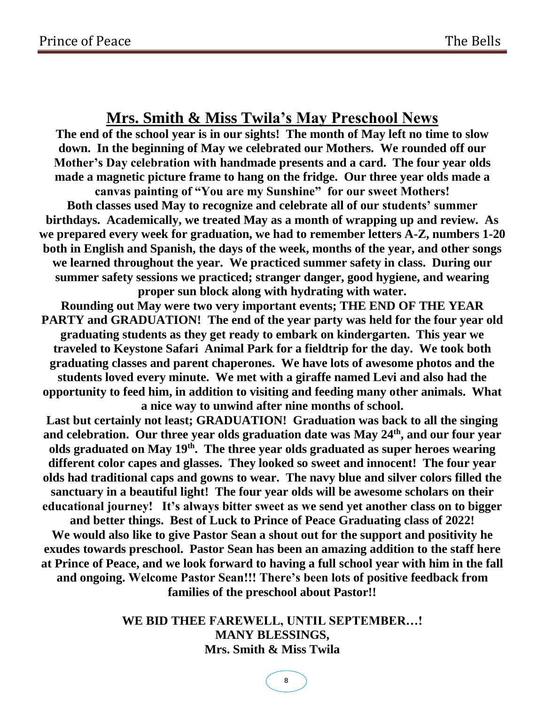### **Mrs. Smith & Miss Twila's May Preschool News**

**The end of the school year is in our sights! The month of May left no time to slow down. In the beginning of May we celebrated our Mothers. We rounded off our Mother's Day celebration with handmade presents and a card. The four year olds made a magnetic picture frame to hang on the fridge. Our three year olds made a canvas painting of "You are my Sunshine" for our sweet Mothers! Both classes used May to recognize and celebrate all of our students' summer birthdays. Academically, we treated May as a month of wrapping up and review. As we prepared every week for graduation, we had to remember letters A-Z, numbers 1-20 both in English and Spanish, the days of the week, months of the year, and other songs we learned throughout the year. We practiced summer safety in class. During our summer safety sessions we practiced; stranger danger, good hygiene, and wearing proper sun block along with hydrating with water.**

**Rounding out May were two very important events; THE END OF THE YEAR PARTY and GRADUATION! The end of the year party was held for the four year old graduating students as they get ready to embark on kindergarten. This year we traveled to Keystone Safari Animal Park for a fieldtrip for the day. We took both graduating classes and parent chaperones. We have lots of awesome photos and the students loved every minute. We met with a giraffe named Levi and also had the opportunity to feed him, in addition to visiting and feeding many other animals. What a nice way to unwind after nine months of school.**

**Last but certainly not least; GRADUATION! Graduation was back to all the singing and celebration. Our three year olds graduation date was May 24th, and our four year olds graduated on May 19th. The three year olds graduated as super heroes wearing different color capes and glasses. They looked so sweet and innocent! The four year olds had traditional caps and gowns to wear. The navy blue and silver colors filled the sanctuary in a beautiful light! The four year olds will be awesome scholars on their educational journey! It's always bitter sweet as we send yet another class on to bigger and better things. Best of Luck to Prince of Peace Graduating class of 2022! We would also like to give Pastor Sean a shout out for the support and positivity he exudes towards preschool. Pastor Sean has been an amazing addition to the staff here at Prince of Peace, and we look forward to having a full school year with him in the fall and ongoing. Welcome Pastor Sean!!! There's been lots of positive feedback from families of the preschool about Pastor!!** 

> **WE BID THEE FAREWELL, UNTIL SEPTEMBER…! MANY BLESSINGS, Mrs. Smith & Miss Twila**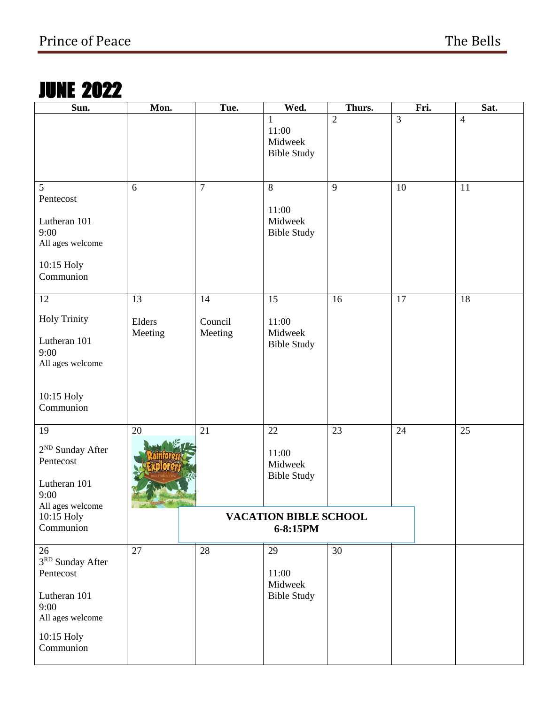# JUNE 2022

| Sun.                                                                                                       | Mon.                          | Tue.                     | Wed.                                            | Thurs.         |    | Fri. | Sat.           |
|------------------------------------------------------------------------------------------------------------|-------------------------------|--------------------------|-------------------------------------------------|----------------|----|------|----------------|
|                                                                                                            |                               |                          | 1<br>11:00<br>Midweek<br><b>Bible Study</b>     | $\overline{2}$ | 3  |      | $\overline{4}$ |
| 5<br>Pentecost<br>Lutheran 101<br>9:00<br>All ages welcome<br>10:15 Holy<br>Communion                      | 6                             | $\overline{7}$           | $8\,$<br>11:00<br>Midweek<br><b>Bible Study</b> | 9              | 10 |      | 11             |
| 12<br><b>Holy Trinity</b><br>Lutheran 101<br>9:00<br>All ages welcome<br>10:15 Holy                        | 13<br>Elders<br>Meeting       | 14<br>Council<br>Meeting | 15<br>11:00<br>Midweek<br><b>Bible Study</b>    | 16             | 17 |      | 18             |
| Communion                                                                                                  |                               |                          |                                                 |                |    |      |                |
| 19<br>2 <sup>ND</sup> Sunday After<br>Pentecost<br>Lutheran 101<br>9:00<br>All ages welcome                | 20<br>The Second State of the | 21                       | 22<br>11:00<br>Midweek<br><b>Bible Study</b>    | 23             | 24 |      | 25             |
| 10:15 Holy<br>Communion                                                                                    |                               |                          | <b>VACATION BIBLE SCHOOL</b><br>6-8:15PM        |                |    |      |                |
| 26<br>3RD Sunday After<br>Pentecost<br>Lutheran 101<br>9:00<br>All ages welcome<br>10:15 Holy<br>Communion | 27                            | 28                       | 29<br>11:00<br>Midweek<br><b>Bible Study</b>    | 30             |    |      |                |